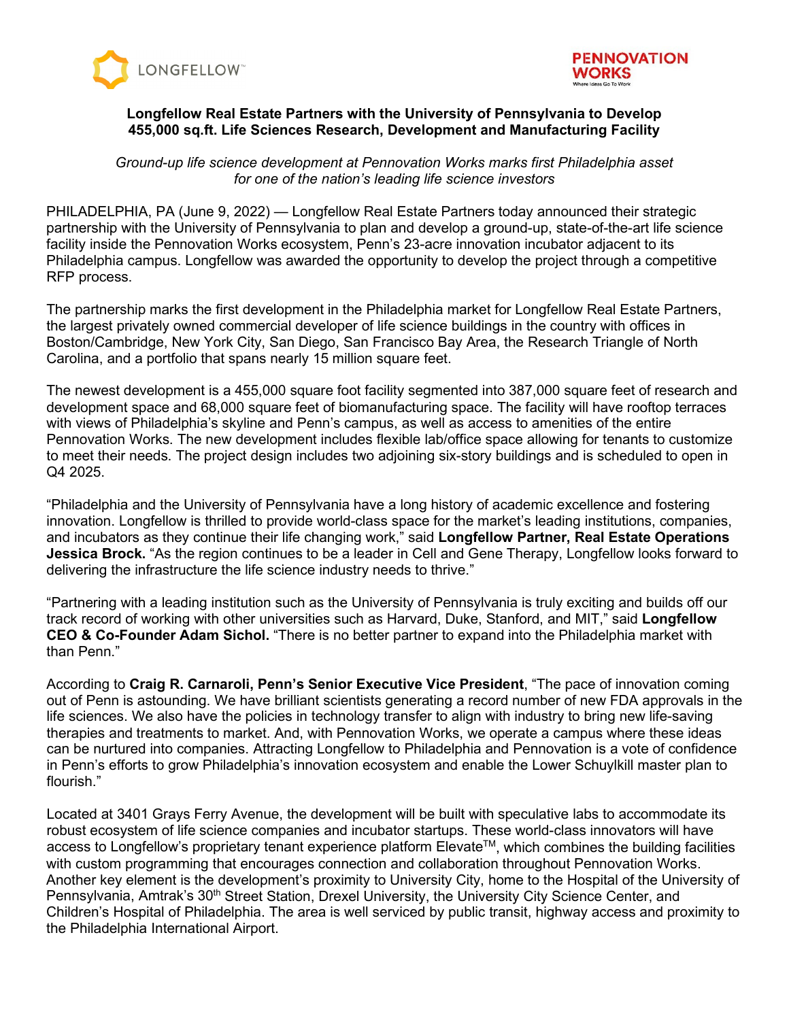



# **Longfellow Real Estate Partners with the University of Pennsylvania to Develop 455,000 sq.ft. Life Sciences Research, Development and Manufacturing Facility**

*Ground-up life science development at Pennovation Works marks first Philadelphia asset for one of the nation's leading life science investors*

PHILADELPHIA, PA (June 9, 2022) — Longfellow Real Estate Partners today announced their strategic partnership with the University of Pennsylvania to plan and develop a ground-up, state-of-the-art life science facility inside the Pennovation Works ecosystem, Penn's 23-acre innovation incubator adjacent to its Philadelphia campus. Longfellow was awarded the opportunity to develop the project through a competitive RFP process.

The partnership marks the first development in the Philadelphia market for Longfellow Real Estate Partners, the largest privately owned commercial developer of life science buildings in the country with offices in Boston/Cambridge, New York City, San Diego, San Francisco Bay Area, the Research Triangle of North Carolina, and a portfolio that spans nearly 15 million square feet.

The newest development is a 455,000 square foot facility segmented into 387,000 square feet of research and development space and 68,000 square feet of biomanufacturing space. The facility will have rooftop terraces with views of Philadelphia's skyline and Penn's campus, as well as access to amenities of the entire Pennovation Works. The new development includes flexible lab/office space allowing for tenants to customize to meet their needs. The project design includes two adjoining six-story buildings and is scheduled to open in Q4 2025.

"Philadelphia and the University of Pennsylvania have a long history of academic excellence and fostering innovation. Longfellow is thrilled to provide world-class space for the market's leading institutions, companies, and incubators as they continue their life changing work," said **Longfellow Partner, Real Estate Operations Jessica Brock.** "As the region continues to be a leader in Cell and Gene Therapy, Longfellow looks forward to delivering the infrastructure the life science industry needs to thrive."

"Partnering with a leading institution such as the University of Pennsylvania is truly exciting and builds off our track record of working with other universities such as Harvard, Duke, Stanford, and MIT," said **Longfellow CEO & Co-Founder Adam Sichol.** "There is no better partner to expand into the Philadelphia market with than Penn."

According to **Craig R. Carnaroli, Penn's Senior Executive Vice President**, "The pace of innovation coming out of Penn is astounding. We have brilliant scientists generating a record number of new FDA approvals in the life sciences. We also have the policies in technology transfer to align with industry to bring new life-saving therapies and treatments to market. And, with Pennovation Works, we operate a campus where these ideas can be nurtured into companies. Attracting Longfellow to Philadelphia and Pennovation is a vote of confidence in Penn's efforts to grow Philadelphia's innovation ecosystem and enable the Lower Schuylkill master plan to flourish."

Located at 3401 Grays Ferry Avenue, the development will be built with speculative labs to accommodate its robust ecosystem of life science companies and incubator startups. These world-class innovators will have access to Longfellow's proprietary tenant experience platform Elevate™, which combines the building facilities with custom programming that encourages connection and collaboration throughout Pennovation Works. Another key element is the development's proximity to University City, home to the Hospital of the University of Pennsylvania, Amtrak's 30<sup>th</sup> Street Station, Drexel University, the University City Science Center, and Children's Hospital of Philadelphia. The area is well serviced by public transit, highway access and proximity to the Philadelphia International Airport.